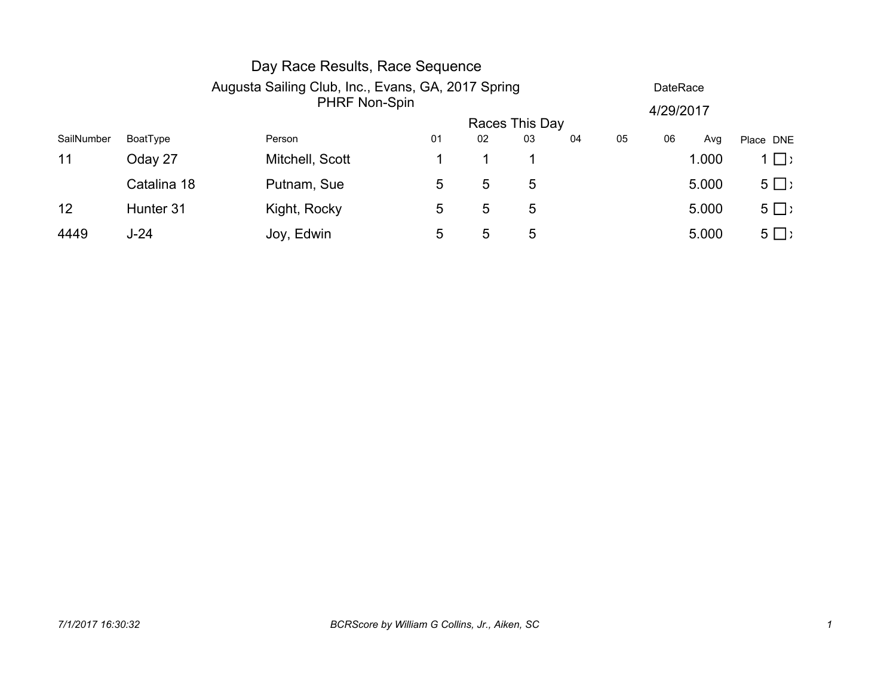|            |             | Day Race Results, Race Sequence                    |                |    |    |    |    |                 |       |           |  |
|------------|-------------|----------------------------------------------------|----------------|----|----|----|----|-----------------|-------|-----------|--|
|            |             | Augusta Sailing Club, Inc., Evans, GA, 2017 Spring |                |    |    |    |    | <b>DateRace</b> |       |           |  |
|            |             | <b>PHRF Non-Spin</b>                               |                |    |    |    |    | 4/29/2017       |       |           |  |
|            |             |                                                    | Races This Day |    |    |    |    |                 |       |           |  |
| SailNumber | BoatType    | Person                                             | 01             | 02 | 03 | 04 | 05 | 06              | Avg   | Place DNE |  |
| 11         | Oday 27     | Mitchell, Scott                                    |                |    |    |    |    |                 | 1.000 | $1 \Box$  |  |
|            | Catalina 18 | Putnam, Sue                                        | 5              | 5  | 5  |    |    |                 | 5.000 | $5 \Box$  |  |
| 12         | Hunter 31   | Kight, Rocky                                       | 5              | 5  | 5  |    |    |                 | 5.000 | $5 \Box$  |  |
| 4449       | $J-24$      | Joy, Edwin                                         | 5              | 5  | 5  |    |    |                 | 5.000 | $5 \Box$  |  |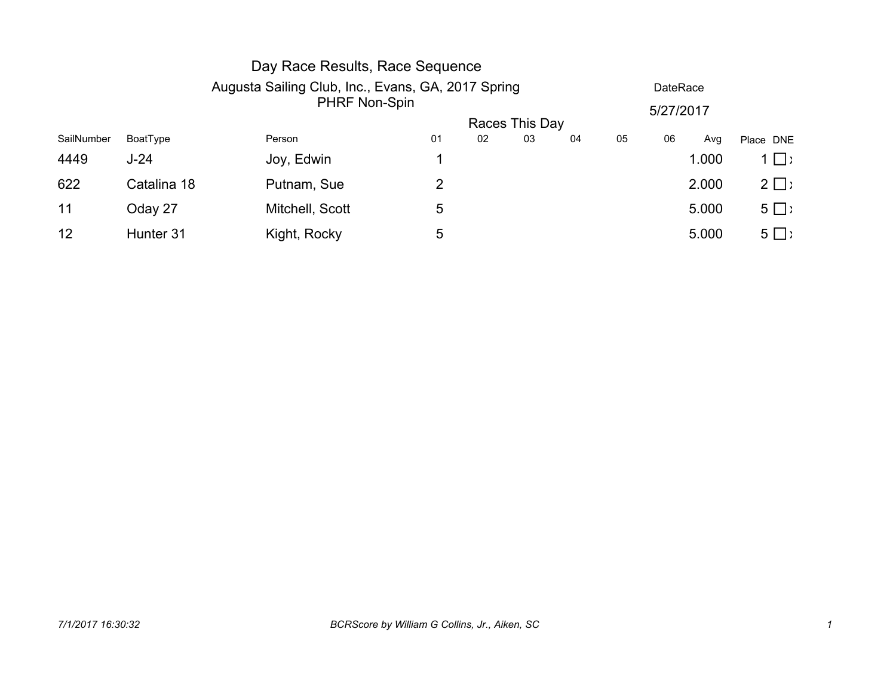|            |                                                    | Day Race Results, Race Sequence |    |    |                |    |                 |           |       |           |  |
|------------|----------------------------------------------------|---------------------------------|----|----|----------------|----|-----------------|-----------|-------|-----------|--|
|            | Augusta Sailing Club, Inc., Evans, GA, 2017 Spring |                                 |    |    |                |    | <b>DateRace</b> |           |       |           |  |
|            |                                                    | PHRF Non-Spin                   |    |    |                |    |                 | 5/27/2017 |       |           |  |
|            |                                                    |                                 |    |    | Races This Day |    |                 |           |       |           |  |
| SailNumber | BoatType                                           | Person                          | 01 | 02 | 03             | 04 | 05              | 06        | Avg   | Place DNE |  |
| 4449       | $J-24$                                             | Joy, Edwin                      |    |    |                |    |                 |           | 1.000 | $1 \Box$  |  |
| 622        | Catalina 18                                        | Putnam, Sue                     | 2  |    |                |    |                 |           | 2.000 | $2 \Box$  |  |
| 11         | Oday 27                                            | Mitchell, Scott                 | 5  |    |                |    |                 |           | 5.000 | $5 \Box$  |  |
| 12         | Hunter 31                                          | Kight, Rocky                    | 5  |    |                |    |                 |           | 5.000 | $5 \Box$  |  |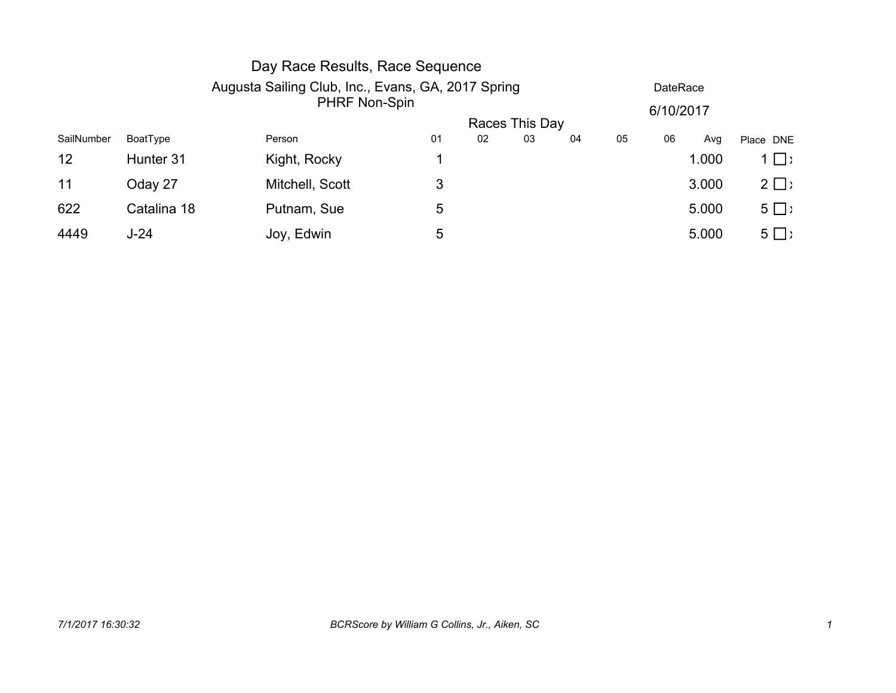|            |                                                    | Day Race Results, Race Sequence |    |    |                |    |                 |    |       |           |  |
|------------|----------------------------------------------------|---------------------------------|----|----|----------------|----|-----------------|----|-------|-----------|--|
|            | Augusta Sailing Club, Inc., Evans, GA, 2017 Spring |                                 |    |    |                |    | <b>DateRace</b> |    |       |           |  |
|            |                                                    | <b>PHRF Non-Spin</b>            |    |    |                |    | 6/10/2017       |    |       |           |  |
|            |                                                    |                                 |    |    | Races This Day |    |                 |    |       |           |  |
| SailNumber | BoatType                                           | Person                          | 01 | 02 | 03             | 04 | 05              | 06 | Avg   | Place DNE |  |
| 12         | Hunter 31                                          | Kight, Rocky                    |    |    |                |    |                 |    | 1.000 | $1 \Box$  |  |
| 11         | Oday 27                                            | Mitchell, Scott                 | 3  |    |                |    |                 |    | 3.000 | $2 \Box$  |  |
| 622        | Catalina 18                                        | Putnam, Sue                     | 5  |    |                |    |                 |    | 5.000 | $5 \Box$  |  |
| 4449       | $J-24$                                             | Joy, Edwin                      | 5  |    |                |    |                 |    | 5.000 | $5 \Box$  |  |